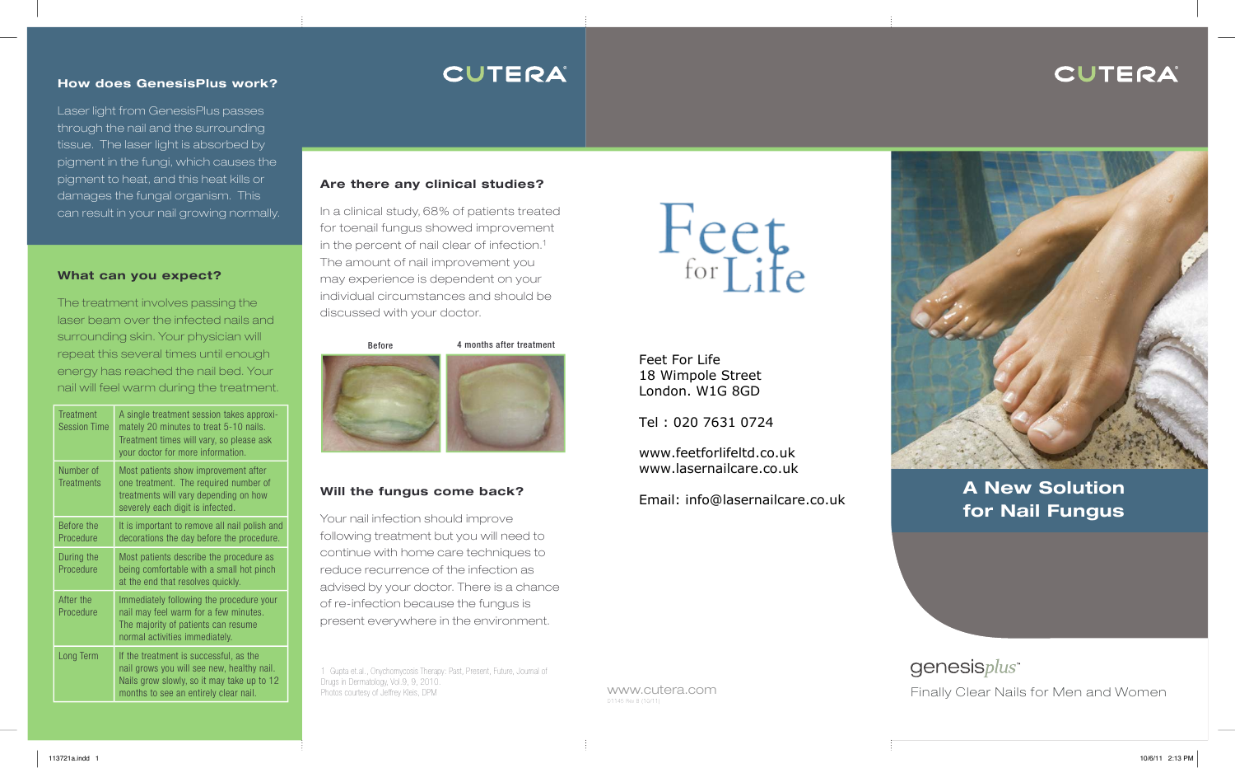# CUTERA

#### **How does GenesisPlus work?**

Laser light from GenesisPlus passes through the nail and the surrounding tissue. The laser light is absorbed by pigment in the fungi, which causes the pigment to heat, and this heat kills or damages the fungal organism. This can result in your nail growing normally.

#### **What can you expect?**

The treatment involves passing the laser beam over the infected nails and surrounding skin. Your physician will repeat this several times until enough energy has reached the nail bed. Your nail will feel warm during the treatment.

| <b>Treatment</b><br><b>Session Time</b> | A single treatment session takes approxi-<br>mately 20 minutes to treat 5-10 nails.<br>Treatment times will vary, so please ask<br>your doctor for more information.        |
|-----------------------------------------|-----------------------------------------------------------------------------------------------------------------------------------------------------------------------------|
| Number of<br><b>Treatments</b>          | Most patients show improvement after<br>one treatment. The required number of<br>treatments will vary depending on how<br>severely each digit is infected.                  |
| Before the<br>Procedure                 | It is important to remove all nail polish and<br>decorations the day before the procedure.                                                                                  |
| During the<br>Procedure                 | Most patients describe the procedure as<br>being comfortable with a small hot pinch<br>at the end that resolves quickly.                                                    |
| After the<br>Procedure                  | Immediately following the procedure your<br>nail may feel warm for a few minutes.<br>The majority of patients can resume<br>normal activities immediately.                  |
| Long Term                               | If the treatment is successful, as the<br>nail grows you will see new, healthy nail.<br>Nails grow slowly, so it may take up to 12<br>months to see an entirely clear nail. |

# **CUTERA**

#### **Are there any clinical studies?**

In a clinical study, 68% of patients treated for toenail fungus showed improvement in the percent of nail clear of infection.1 The amount of nail improvement you may experience is dependent on your individual circumstances and should be discussed with your doctor.



## **Will the fungus come back?**

Your nail infection should improve following treatment but you will need to continue with home care techniques to reduce recurrence of the infection as advised by your doctor. There is a chance of re-infection because the fungus is present everywhere in the environment.

1 Gupta et.al., Onychomycosis Therapy: Past, Present, Future, Journal of Drugs in Dermatology, Vol.9, 9, 2010.

 $F_{\text{for Life}}$ 

Feet For Life 18 Wimpole Street London. W1G 8GD

Tel : 020 7631 0724

www.cutera.com

D1145 Rev B (10/11)

www.feetforlifeltd.co.uk www.lasernailcare.co.uk

Email: info@lasernailcare.co.uk



**A New Solution for Nail Fungus**

genesisplus<sup>\*</sup> Photos courtesy of Jeffrey Kleis, DPM **Finally Clear Nails for Men and Women**